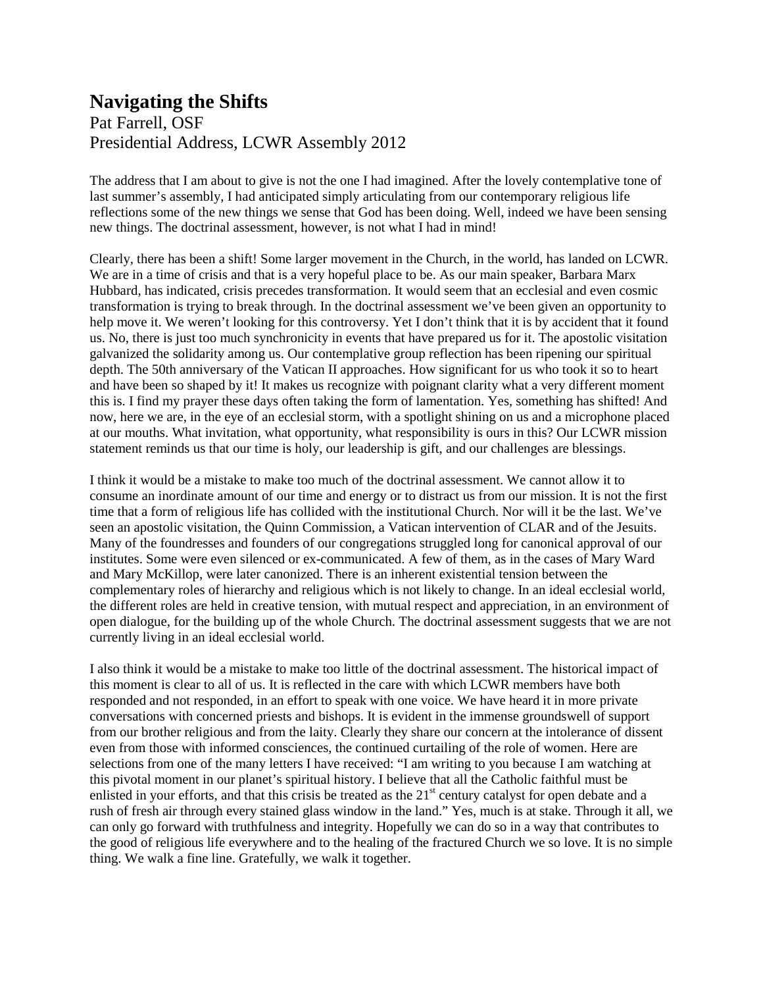# **Navigating the Shifts**

# Pat Farrell, OSF Presidential Address, LCWR Assembly 2012

The address that I am about to give is not the one I had imagined. After the lovely contemplative tone of last summer's assembly, I had anticipated simply articulating from our contemporary religious life reflections some of the new things we sense that God has been doing. Well, indeed we have been sensing new things. The doctrinal assessment, however, is not what I had in mind!

Clearly, there has been a shift! Some larger movement in the Church, in the world, has landed on LCWR. We are in a time of crisis and that is a very hopeful place to be. As our main speaker, Barbara Marx Hubbard, has indicated, crisis precedes transformation. It would seem that an ecclesial and even cosmic transformation is trying to break through. In the doctrinal assessment we've been given an opportunity to help move it. We weren't looking for this controversy. Yet I don't think that it is by accident that it found us. No, there is just too much synchronicity in events that have prepared us for it. The apostolic visitation galvanized the solidarity among us. Our contemplative group reflection has been ripening our spiritual depth. The 50th anniversary of the Vatican II approaches. How significant for us who took it so to heart and have been so shaped by it! It makes us recognize with poignant clarity what a very different moment this is. I find my prayer these days often taking the form of lamentation. Yes, something has shifted! And now, here we are, in the eye of an ecclesial storm, with a spotlight shining on us and a microphone placed at our mouths. What invitation, what opportunity, what responsibility is ours in this? Our LCWR mission statement reminds us that our time is holy, our leadership is gift, and our challenges are blessings.

I think it would be a mistake to make too much of the doctrinal assessment. We cannot allow it to consume an inordinate amount of our time and energy or to distract us from our mission. It is not the first time that a form of religious life has collided with the institutional Church. Nor will it be the last. We've seen an apostolic visitation, the Quinn Commission, a Vatican intervention of CLAR and of the Jesuits. Many of the foundresses and founders of our congregations struggled long for canonical approval of our institutes. Some were even silenced or ex-communicated. A few of them, as in the cases of Mary Ward and Mary McKillop, were later canonized. There is an inherent existential tension between the complementary roles of hierarchy and religious which is not likely to change. In an ideal ecclesial world, the different roles are held in creative tension, with mutual respect and appreciation, in an environment of open dialogue, for the building up of the whole Church. The doctrinal assessment suggests that we are not currently living in an ideal ecclesial world.

I also think it would be a mistake to make too little of the doctrinal assessment. The historical impact of this moment is clear to all of us. It is reflected in the care with which LCWR members have both responded and not responded, in an effort to speak with one voice. We have heard it in more private conversations with concerned priests and bishops. It is evident in the immense groundswell of support from our brother religious and from the laity. Clearly they share our concern at the intolerance of dissent even from those with informed consciences, the continued curtailing of the role of women. Here are selections from one of the many letters I have received: "I am writing to you because I am watching at this pivotal moment in our planet's spiritual history. I believe that all the Catholic faithful must be enlisted in your efforts, and that this crisis be treated as the 21<sup>st</sup> century catalyst for open debate and a rush of fresh air through every stained glass window in the land." Yes, much is at stake. Through it all, we can only go forward with truthfulness and integrity. Hopefully we can do so in a way that contributes to the good of religious life everywhere and to the healing of the fractured Church we so love. It is no simple thing. We walk a fine line. Gratefully, we walk it together.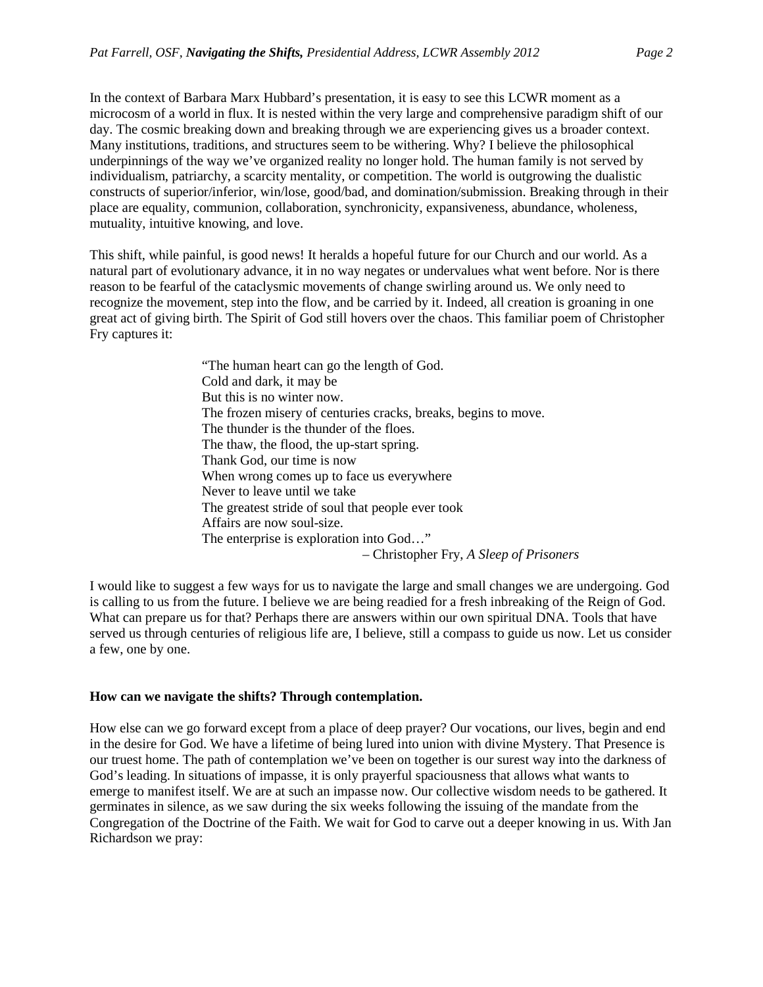In the context of Barbara Marx Hubbard's presentation, it is easy to see this LCWR moment as a microcosm of a world in flux. It is nested within the very large and comprehensive paradigm shift of our day. The cosmic breaking down and breaking through we are experiencing gives us a broader context. Many institutions, traditions, and structures seem to be withering. Why? I believe the philosophical underpinnings of the way we've organized reality no longer hold. The human family is not served by individualism, patriarchy, a scarcity mentality, or competition. The world is outgrowing the dualistic constructs of superior/inferior, win/lose, good/bad, and domination/submission. Breaking through in their place are equality, communion, collaboration, synchronicity, expansiveness, abundance, wholeness, mutuality, intuitive knowing, and love.

This shift, while painful, is good news! It heralds a hopeful future for our Church and our world. As a natural part of evolutionary advance, it in no way negates or undervalues what went before. Nor is there reason to be fearful of the cataclysmic movements of change swirling around us. We only need to recognize the movement, step into the flow, and be carried by it. Indeed, all creation is groaning in one great act of giving birth. The Spirit of God still hovers over the chaos. This familiar poem of Christopher Fry captures it:

> "The human heart can go the length of God. Cold and dark, it may be But this is no winter now. The frozen misery of centuries cracks, breaks, begins to move. The thunder is the thunder of the floes. The thaw, the flood, the up-start spring. Thank God, our time is now When wrong comes up to face us everywhere Never to leave until we take The greatest stride of soul that people ever took Affairs are now soul-size. The enterprise is exploration into God…" – Christopher Fry, *A Sleep of Prisoners*

I would like to suggest a few ways for us to navigate the large and small changes we are undergoing. God is calling to us from the future. I believe we are being readied for a fresh inbreaking of the Reign of God. What can prepare us for that? Perhaps there are answers within our own spiritual DNA. Tools that have served us through centuries of religious life are, I believe, still a compass to guide us now. Let us consider a few, one by one.

#### **How can we navigate the shifts? Through contemplation.**

How else can we go forward except from a place of deep prayer? Our vocations, our lives, begin and end in the desire for God. We have a lifetime of being lured into union with divine Mystery. That Presence is our truest home. The path of contemplation we've been on together is our surest way into the darkness of God's leading. In situations of impasse, it is only prayerful spaciousness that allows what wants to emerge to manifest itself. We are at such an impasse now. Our collective wisdom needs to be gathered. It germinates in silence, as we saw during the six weeks following the issuing of the mandate from the Congregation of the Doctrine of the Faith. We wait for God to carve out a deeper knowing in us. With Jan Richardson we pray: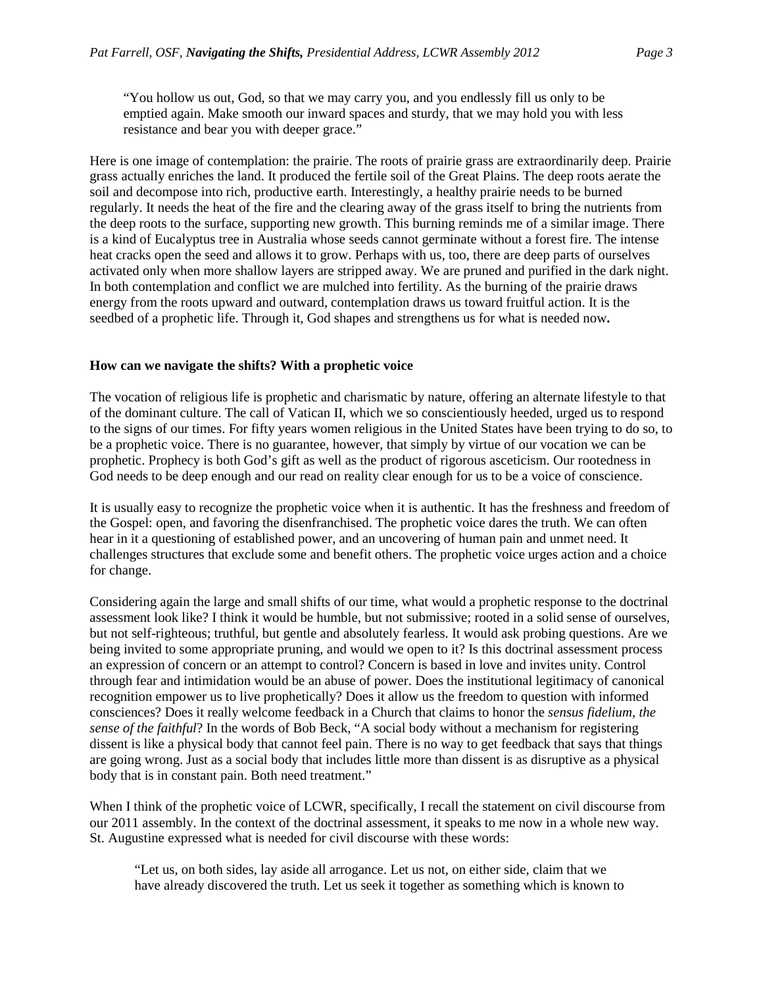"You hollow us out, God, so that we may carry you, and you endlessly fill us only to be emptied again. Make smooth our inward spaces and sturdy, that we may hold you with less resistance and bear you with deeper grace."

Here is one image of contemplation: the prairie. The roots of prairie grass are extraordinarily deep. Prairie grass actually enriches the land. It produced the fertile soil of the Great Plains. The deep roots aerate the soil and decompose into rich, productive earth. Interestingly, a healthy prairie needs to be burned regularly. It needs the heat of the fire and the clearing away of the grass itself to bring the nutrients from the deep roots to the surface, supporting new growth. This burning reminds me of a similar image. There is a kind of Eucalyptus tree in Australia whose seeds cannot germinate without a forest fire. The intense heat cracks open the seed and allows it to grow. Perhaps with us, too, there are deep parts of ourselves activated only when more shallow layers are stripped away. We are pruned and purified in the dark night. In both contemplation and conflict we are mulched into fertility. As the burning of the prairie draws energy from the roots upward and outward, contemplation draws us toward fruitful action. It is the seedbed of a prophetic life. Through it, God shapes and strengthens us for what is needed now**.**

#### **How can we navigate the shifts? With a prophetic voice**

The vocation of religious life is prophetic and charismatic by nature, offering an alternate lifestyle to that of the dominant culture. The call of Vatican II, which we so conscientiously heeded, urged us to respond to the signs of our times. For fifty years women religious in the United States have been trying to do so, to be a prophetic voice. There is no guarantee, however, that simply by virtue of our vocation we can be prophetic. Prophecy is both God's gift as well as the product of rigorous asceticism. Our rootedness in God needs to be deep enough and our read on reality clear enough for us to be a voice of conscience.

It is usually easy to recognize the prophetic voice when it is authentic. It has the freshness and freedom of the Gospel: open, and favoring the disenfranchised. The prophetic voice dares the truth. We can often hear in it a questioning of established power, and an uncovering of human pain and unmet need. It challenges structures that exclude some and benefit others. The prophetic voice urges action and a choice for change.

Considering again the large and small shifts of our time, what would a prophetic response to the doctrinal assessment look like? I think it would be humble, but not submissive; rooted in a solid sense of ourselves, but not self-righteous; truthful, but gentle and absolutely fearless. It would ask probing questions. Are we being invited to some appropriate pruning, and would we open to it? Is this doctrinal assessment process an expression of concern or an attempt to control? Concern is based in love and invites unity. Control through fear and intimidation would be an abuse of power. Does the institutional legitimacy of canonical recognition empower us to live prophetically? Does it allow us the freedom to question with informed consciences? Does it really welcome feedback in a Church that claims to honor the *sensus fidelium, the sense of the faithful*? In the words of Bob Beck, "A social body without a mechanism for registering dissent is like a physical body that cannot feel pain. There is no way to get feedback that says that things are going wrong. Just as a social body that includes little more than dissent is as disruptive as a physical body that is in constant pain. Both need treatment."

When I think of the prophetic voice of LCWR, specifically, I recall the statement on civil discourse from our 2011 assembly. In the context of the doctrinal assessment, it speaks to me now in a whole new way. St. Augustine expressed what is needed for civil discourse with these words:

"Let us, on both sides, lay aside all arrogance. Let us not, on either side, claim that we have already discovered the truth. Let us seek it together as something which is known to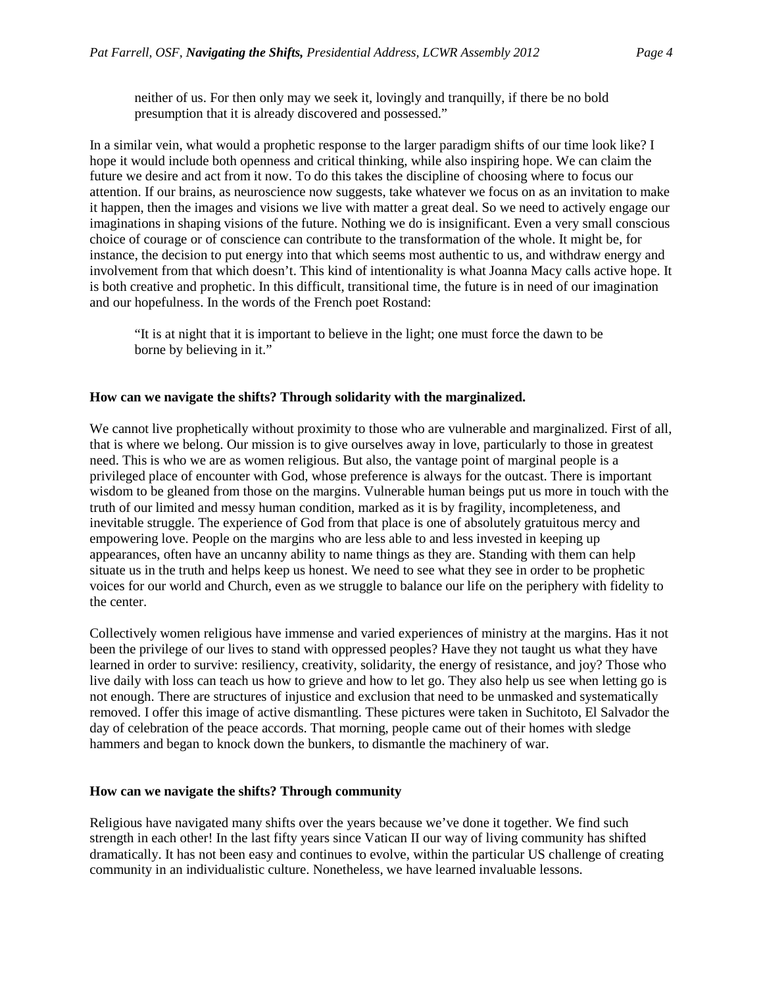neither of us. For then only may we seek it, lovingly and tranquilly, if there be no bold presumption that it is already discovered and possessed."

In a similar vein, what would a prophetic response to the larger paradigm shifts of our time look like? I hope it would include both openness and critical thinking, while also inspiring hope. We can claim the future we desire and act from it now. To do this takes the discipline of choosing where to focus our attention. If our brains, as neuroscience now suggests, take whatever we focus on as an invitation to make it happen, then the images and visions we live with matter a great deal. So we need to actively engage our imaginations in shaping visions of the future. Nothing we do is insignificant. Even a very small conscious choice of courage or of conscience can contribute to the transformation of the whole. It might be, for instance, the decision to put energy into that which seems most authentic to us, and withdraw energy and involvement from that which doesn't. This kind of intentionality is what Joanna Macy calls active hope. It is both creative and prophetic. In this difficult, transitional time, the future is in need of our imagination and our hopefulness. In the words of the French poet Rostand:

"It is at night that it is important to believe in the light; one must force the dawn to be borne by believing in it."

## **How can we navigate the shifts? Through solidarity with the marginalized.**

We cannot live prophetically without proximity to those who are vulnerable and marginalized. First of all, that is where we belong. Our mission is to give ourselves away in love, particularly to those in greatest need. This is who we are as women religious. But also, the vantage point of marginal people is a privileged place of encounter with God, whose preference is always for the outcast. There is important wisdom to be gleaned from those on the margins. Vulnerable human beings put us more in touch with the truth of our limited and messy human condition, marked as it is by fragility, incompleteness, and inevitable struggle. The experience of God from that place is one of absolutely gratuitous mercy and empowering love. People on the margins who are less able to and less invested in keeping up appearances, often have an uncanny ability to name things as they are. Standing with them can help situate us in the truth and helps keep us honest. We need to see what they see in order to be prophetic voices for our world and Church, even as we struggle to balance our life on the periphery with fidelity to the center.

Collectively women religious have immense and varied experiences of ministry at the margins. Has it not been the privilege of our lives to stand with oppressed peoples? Have they not taught us what they have learned in order to survive: resiliency, creativity, solidarity, the energy of resistance, and joy? Those who live daily with loss can teach us how to grieve and how to let go. They also help us see when letting go is not enough. There are structures of injustice and exclusion that need to be unmasked and systematically removed. I offer this image of active dismantling. These pictures were taken in Suchitoto, El Salvador the day of celebration of the peace accords. That morning, people came out of their homes with sledge hammers and began to knock down the bunkers, to dismantle the machinery of war.

#### **How can we navigate the shifts? Through community**

Religious have navigated many shifts over the years because we've done it together. We find such strength in each other! In the last fifty years since Vatican II our way of living community has shifted dramatically. It has not been easy and continues to evolve, within the particular US challenge of creating community in an individualistic culture. Nonetheless, we have learned invaluable lessons.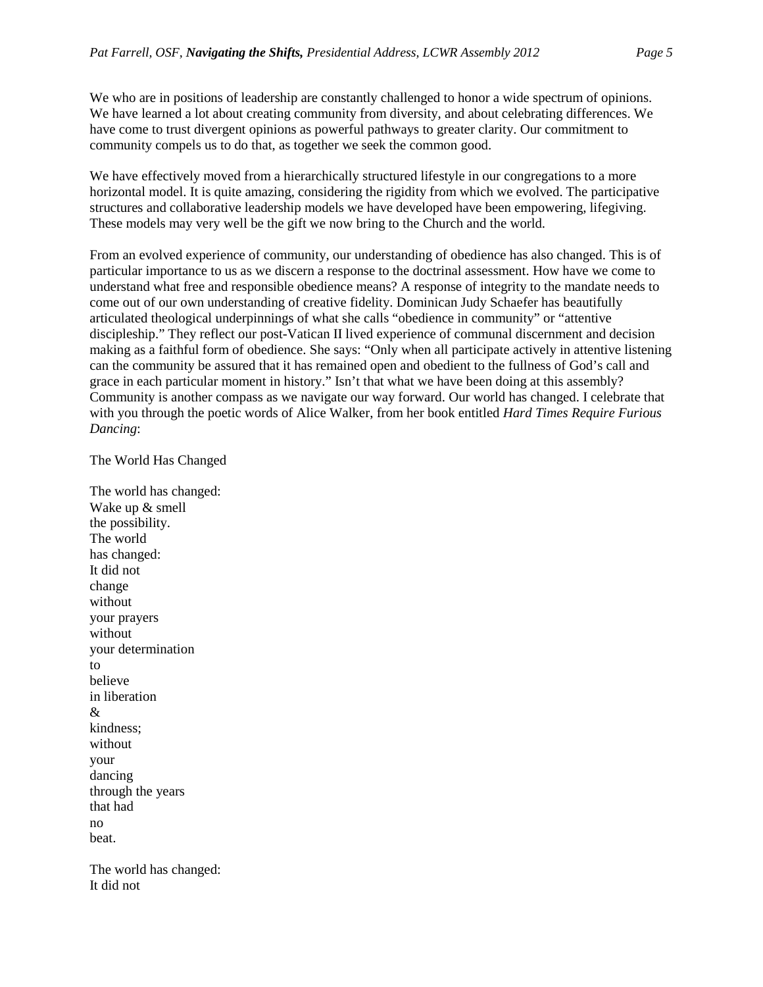We who are in positions of leadership are constantly challenged to honor a wide spectrum of opinions. We have learned a lot about creating community from diversity, and about celebrating differences. We have come to trust divergent opinions as powerful pathways to greater clarity. Our commitment to community compels us to do that, as together we seek the common good.

We have effectively moved from a hierarchically structured lifestyle in our congregations to a more horizontal model. It is quite amazing, considering the rigidity from which we evolved. The participative structures and collaborative leadership models we have developed have been empowering, lifegiving. These models may very well be the gift we now bring to the Church and the world.

From an evolved experience of community, our understanding of obedience has also changed. This is of particular importance to us as we discern a response to the doctrinal assessment. How have we come to understand what free and responsible obedience means? A response of integrity to the mandate needs to come out of our own understanding of creative fidelity. Dominican Judy Schaefer has beautifully articulated theological underpinnings of what she calls "obedience in community" or "attentive discipleship." They reflect our post-Vatican II lived experience of communal discernment and decision making as a faithful form of obedience. She says: "Only when all participate actively in attentive listening can the community be assured that it has remained open and obedient to the fullness of God's call and grace in each particular moment in history." Isn't that what we have been doing at this assembly? Community is another compass as we navigate our way forward. Our world has changed. I celebrate that with you through the poetic words of Alice Walker, from her book entitled *Hard Times Require Furious Dancing*:

The World Has Changed

The world has changed: Wake up & smell the possibility. The world has changed: It did not change without your prayers without your determination to believe in liberation & kindness; without your dancing through the years that had no beat.

The world has changed: It did not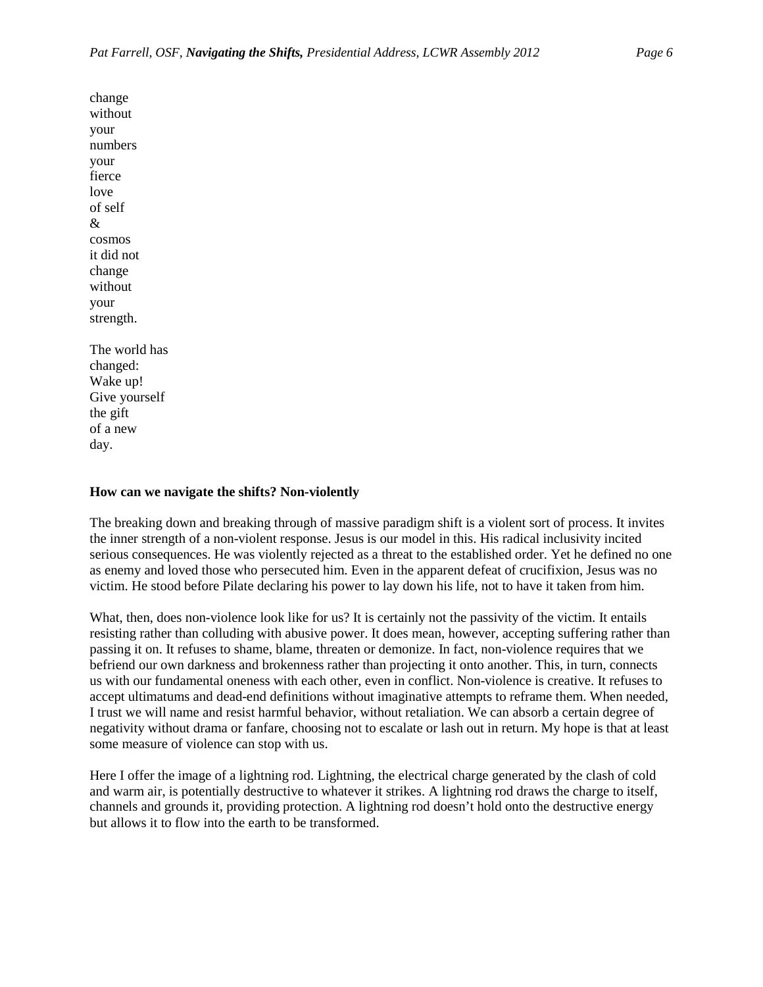change without your numbers your fierce love of self & cosmos it did not change without your strength. The world has

changed: Wake up! Give yourself the gift of a new day.

## **How can we navigate the shifts? Non-violently**

The breaking down and breaking through of massive paradigm shift is a violent sort of process. It invites the inner strength of a non-violent response. Jesus is our model in this. His radical inclusivity incited serious consequences. He was violently rejected as a threat to the established order. Yet he defined no one as enemy and loved those who persecuted him. Even in the apparent defeat of crucifixion, Jesus was no victim. He stood before Pilate declaring his power to lay down his life, not to have it taken from him.

What, then, does non-violence look like for us? It is certainly not the passivity of the victim. It entails resisting rather than colluding with abusive power. It does mean, however, accepting suffering rather than passing it on. It refuses to shame, blame, threaten or demonize. In fact, non-violence requires that we befriend our own darkness and brokenness rather than projecting it onto another. This, in turn, connects us with our fundamental oneness with each other, even in conflict. Non-violence is creative. It refuses to accept ultimatums and dead-end definitions without imaginative attempts to reframe them. When needed, I trust we will name and resist harmful behavior, without retaliation. We can absorb a certain degree of negativity without drama or fanfare, choosing not to escalate or lash out in return. My hope is that at least some measure of violence can stop with us.

Here I offer the image of a lightning rod. Lightning, the electrical charge generated by the clash of cold and warm air, is potentially destructive to whatever it strikes. A lightning rod draws the charge to itself, channels and grounds it, providing protection. A lightning rod doesn't hold onto the destructive energy but allows it to flow into the earth to be transformed.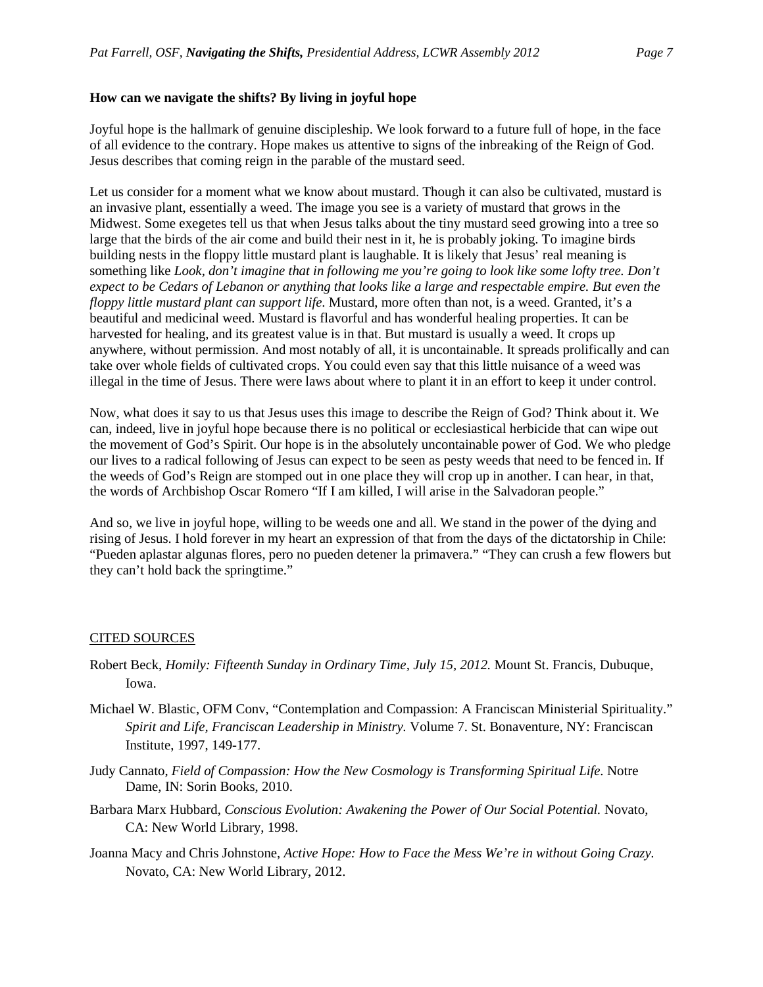#### **How can we navigate the shifts? By living in joyful hope**

Joyful hope is the hallmark of genuine discipleship. We look forward to a future full of hope, in the face of all evidence to the contrary. Hope makes us attentive to signs of the inbreaking of the Reign of God. Jesus describes that coming reign in the parable of the mustard seed.

Let us consider for a moment what we know about mustard. Though it can also be cultivated, mustard is an invasive plant, essentially a weed. The image you see is a variety of mustard that grows in the Midwest. Some exegetes tell us that when Jesus talks about the tiny mustard seed growing into a tree so large that the birds of the air come and build their nest in it, he is probably joking. To imagine birds building nests in the floppy little mustard plant is laughable. It is likely that Jesus' real meaning is something like *Look, don't imagine that in following me you're going to look like some lofty tree. Don't expect to be Cedars of Lebanon or anything that looks like a large and respectable empire. But even the floppy little mustard plant can support life.* Mustard, more often than not, is a weed. Granted, it's a beautiful and medicinal weed. Mustard is flavorful and has wonderful healing properties. It can be harvested for healing, and its greatest value is in that. But mustard is usually a weed. It crops up anywhere, without permission. And most notably of all, it is uncontainable. It spreads prolifically and can take over whole fields of cultivated crops. You could even say that this little nuisance of a weed was illegal in the time of Jesus. There were laws about where to plant it in an effort to keep it under control.

Now, what does it say to us that Jesus uses this image to describe the Reign of God? Think about it. We can, indeed, live in joyful hope because there is no political or ecclesiastical herbicide that can wipe out the movement of God's Spirit. Our hope is in the absolutely uncontainable power of God. We who pledge our lives to a radical following of Jesus can expect to be seen as pesty weeds that need to be fenced in. If the weeds of God's Reign are stomped out in one place they will crop up in another. I can hear, in that, the words of Archbishop Oscar Romero "If I am killed, I will arise in the Salvadoran people."

And so, we live in joyful hope, willing to be weeds one and all. We stand in the power of the dying and rising of Jesus. I hold forever in my heart an expression of that from the days of the dictatorship in Chile: "Pueden aplastar algunas flores, pero no pueden detener la primavera." "They can crush a few flowers but they can't hold back the springtime."

#### CITED SOURCES

- Robert Beck, *Homily: Fifteenth Sunday in Ordinary Time, July 15, 2012.* Mount St. Francis, Dubuque, Iowa.
- Michael W. Blastic, OFM Conv, "Contemplation and Compassion: A Franciscan Ministerial Spirituality." *Spirit and Life, Franciscan Leadership in Ministry.* Volume 7. St. Bonaventure, NY: Franciscan Institute, 1997, 149-177.
- Judy Cannato, *Field of Compassion: How the New Cosmology is Transforming Spiritual Life.* Notre Dame, IN: Sorin Books, 2010.
- Barbara Marx Hubbard, *Conscious Evolution: Awakening the Power of Our Social Potential.* Novato, CA: New World Library, 1998.
- Joanna Macy and Chris Johnstone, *Active Hope: How to Face the Mess We're in without Going Crazy.* Novato, CA: New World Library, 2012.